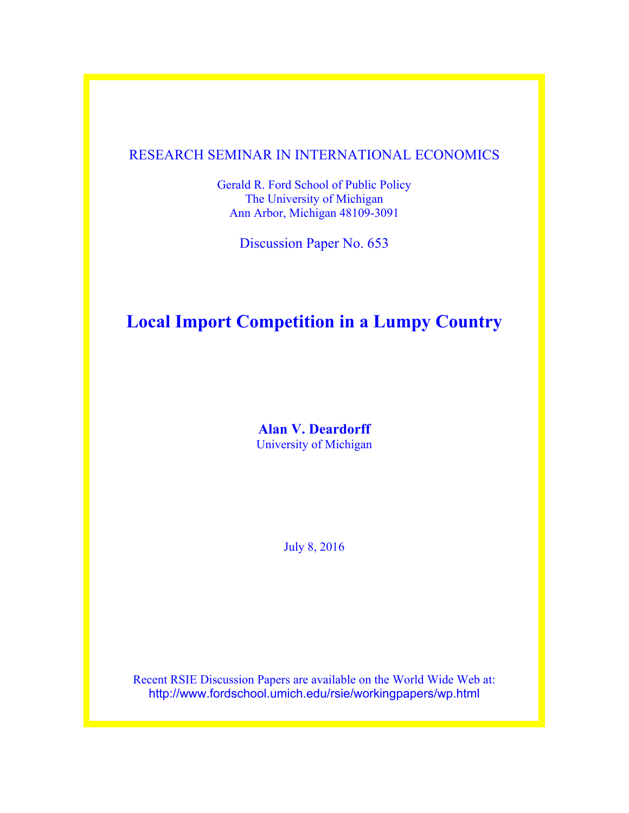## RESEARCH SEMINAR IN INTERNATIONAL ECONOMICS

Gerald R. Ford School of Public Policy The University of Michigan Ann Arbor, Michigan 48109-3091

Discussion Paper No. 653

# **Local Import Competition in a Lumpy Country**

**Alan V. Deardorff** University of Michigan

July 8, 2016

Recent RSIE Discussion Papers are available on the World Wide Web at: http://www.fordschool.umich.edu/rsie/workingpapers/wp.html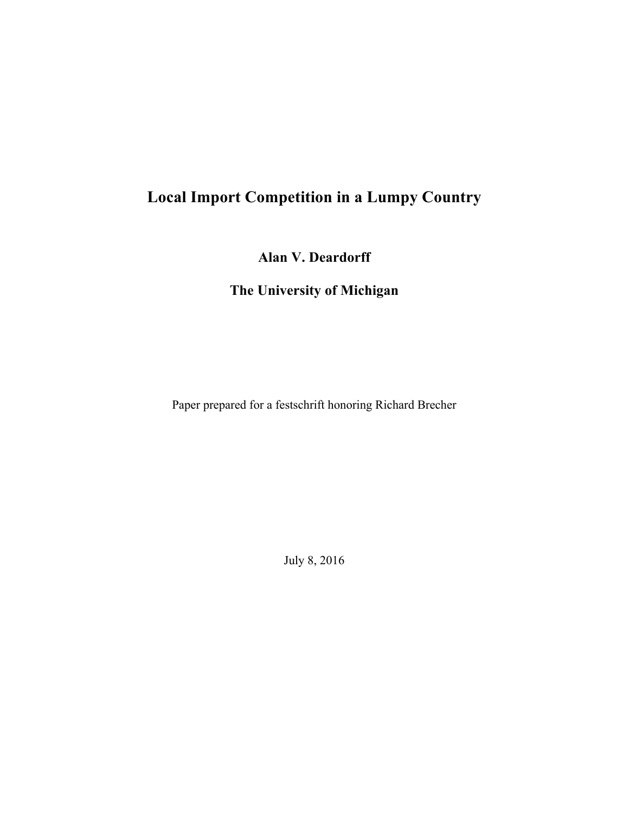# **Local Import Competition in a Lumpy Country**

**Alan V. Deardorff**

**The University of Michigan**

Paper prepared for a festschrift honoring Richard Brecher

July 8, 2016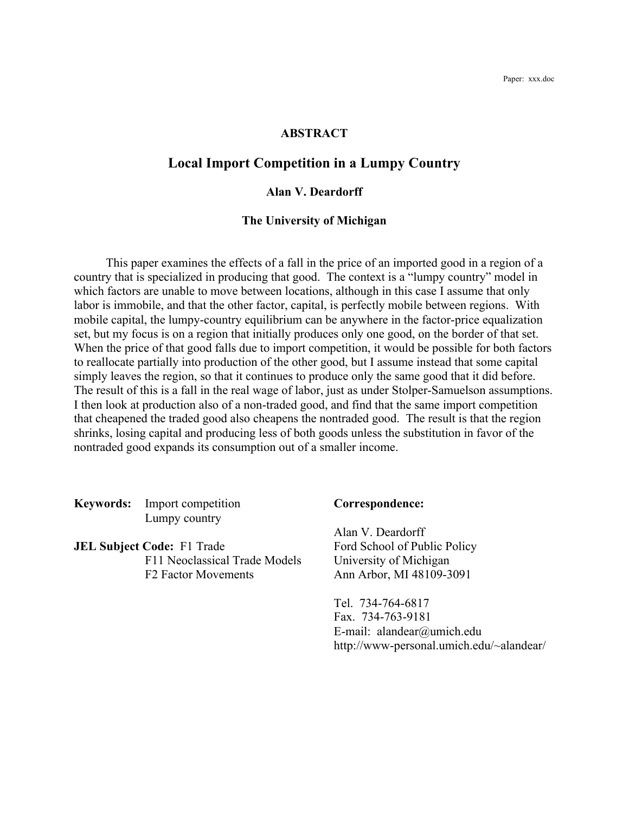## **ABSTRACT**

## **Local Import Competition in a Lumpy Country**

## **Alan V. Deardorff**

### **The University of Michigan**

This paper examines the effects of a fall in the price of an imported good in a region of a country that is specialized in producing that good. The context is a "lumpy country" model in which factors are unable to move between locations, although in this case I assume that only labor is immobile, and that the other factor, capital, is perfectly mobile between regions. With mobile capital, the lumpy-country equilibrium can be anywhere in the factor-price equalization set, but my focus is on a region that initially produces only one good, on the border of that set. When the price of that good falls due to import competition, it would be possible for both factors to reallocate partially into production of the other good, but I assume instead that some capital simply leaves the region, so that it continues to produce only the same good that it did before. The result of this is a fall in the real wage of labor, just as under Stolper-Samuelson assumptions. I then look at production also of a non-traded good, and find that the same import competition that cheapened the traded good also cheapens the nontraded good. The result is that the region shrinks, losing capital and producing less of both goods unless the substitution in favor of the nontraded good expands its consumption out of a smaller income.

**Keywords:** Import competition **Correspondence:** Lumpy country

**JEL Subject Code:** F1 Trade Ford School of Public Policy F11 Neoclassical Trade Models University of Michigan F2 Factor Movements Ann Arbor, MI 48109-3091

Alan V. Deardorff

Tel. 734-764-6817 Fax. 734-763-9181 E-mail: alandear@umich.edu http://www-personal.umich.edu/~alandear/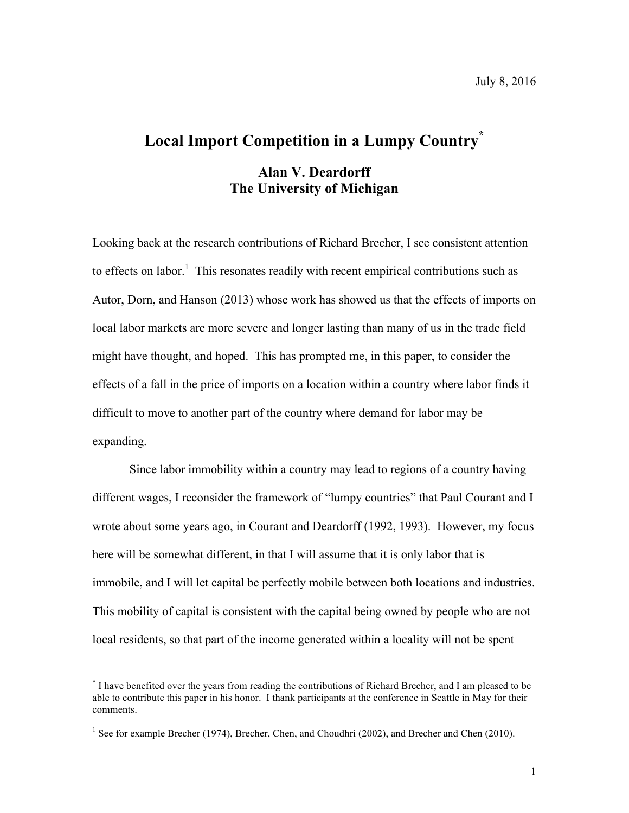## **Local Import Competition in a Lumpy Country\***

## **Alan V. Deardorff The University of Michigan**

Looking back at the research contributions of Richard Brecher, I see consistent attention to effects on labor.<sup>1</sup> This resonates readily with recent empirical contributions such as Autor, Dorn, and Hanson (2013) whose work has showed us that the effects of imports on local labor markets are more severe and longer lasting than many of us in the trade field might have thought, and hoped. This has prompted me, in this paper, to consider the effects of a fall in the price of imports on a location within a country where labor finds it difficult to move to another part of the country where demand for labor may be expanding.

Since labor immobility within a country may lead to regions of a country having different wages, I reconsider the framework of "lumpy countries" that Paul Courant and I wrote about some years ago, in Courant and Deardorff (1992, 1993). However, my focus here will be somewhat different, in that I will assume that it is only labor that is immobile, and I will let capital be perfectly mobile between both locations and industries. This mobility of capital is consistent with the capital being owned by people who are not local residents, so that part of the income generated within a locality will not be spent

 <sup>\*</sup> I have benefited over the years from reading the contributions of Richard Brecher, and I am pleased to be able to contribute this paper in his honor. I thank participants at the conference in Seattle in May for their comments.

<sup>&</sup>lt;sup>1</sup> See for example Brecher (1974), Brecher, Chen, and Choudhri (2002), and Brecher and Chen (2010).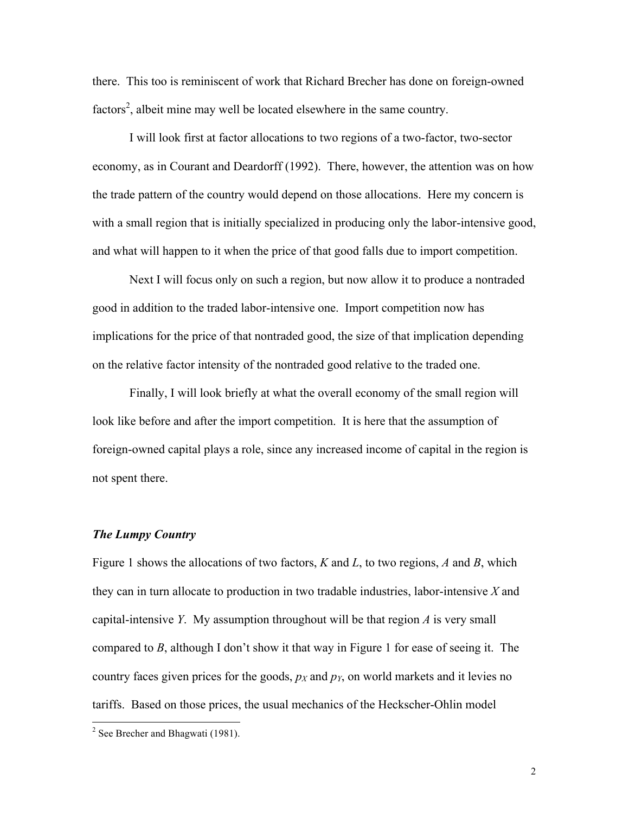there. This too is reminiscent of work that Richard Brecher has done on foreign-owned factors<sup>2</sup>, albeit mine may well be located elsewhere in the same country.

I will look first at factor allocations to two regions of a two-factor, two-sector economy, as in Courant and Deardorff (1992). There, however, the attention was on how the trade pattern of the country would depend on those allocations. Here my concern is with a small region that is initially specialized in producing only the labor-intensive good, and what will happen to it when the price of that good falls due to import competition.

Next I will focus only on such a region, but now allow it to produce a nontraded good in addition to the traded labor-intensive one. Import competition now has implications for the price of that nontraded good, the size of that implication depending on the relative factor intensity of the nontraded good relative to the traded one.

Finally, I will look briefly at what the overall economy of the small region will look like before and after the import competition. It is here that the assumption of foreign-owned capital plays a role, since any increased income of capital in the region is not spent there.

### *The Lumpy Country*

Figure 1 shows the allocations of two factors, *K* and *L*, to two regions, *A* and *B*, which they can in turn allocate to production in two tradable industries, labor-intensive *X* and capital-intensive *Y*. My assumption throughout will be that region *A* is very small compared to *B*, although I don't show it that way in Figure 1 for ease of seeing it. The country faces given prices for the goods,  $p_X$  and  $p_Y$ , on world markets and it levies no tariffs. Based on those prices, the usual mechanics of the Heckscher-Ohlin model

 $2$  See Brecher and Bhagwati (1981).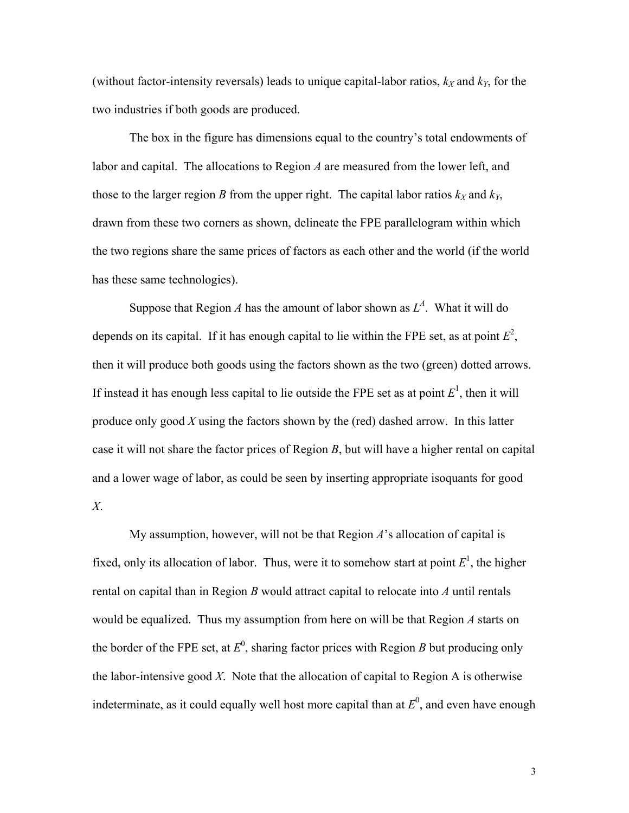(without factor-intensity reversals) leads to unique capital-labor ratios,  $k_X$  and  $k_Y$ , for the two industries if both goods are produced.

The box in the figure has dimensions equal to the country's total endowments of labor and capital. The allocations to Region *A* are measured from the lower left, and those to the larger region *B* from the upper right. The capital labor ratios  $k_X$  and  $k_Y$ , drawn from these two corners as shown, delineate the FPE parallelogram within which the two regions share the same prices of factors as each other and the world (if the world has these same technologies).

Suppose that Region *A* has the amount of labor shown as  $L^A$ . What it will do depends on its capital. If it has enough capital to lie within the FPE set, as at point  $E^2$ , then it will produce both goods using the factors shown as the two (green) dotted arrows. If instead it has enough less capital to lie outside the FPE set as at point  $E<sup>1</sup>$ , then it will produce only good *X* using the factors shown by the (red) dashed arrow. In this latter case it will not share the factor prices of Region *B*, but will have a higher rental on capital and a lower wage of labor, as could be seen by inserting appropriate isoquants for good *X*.

My assumption, however, will not be that Region *A*'s allocation of capital is fixed, only its allocation of labor. Thus, were it to somehow start at point  $E<sup>1</sup>$ , the higher rental on capital than in Region *B* would attract capital to relocate into *A* until rentals would be equalized. Thus my assumption from here on will be that Region *A* starts on the border of the FPE set, at  $E^0$ , sharing factor prices with Region *B* but producing only the labor-intensive good *X*. Note that the allocation of capital to Region A is otherwise indeterminate, as it could equally well host more capital than at  $E^0$ , and even have enough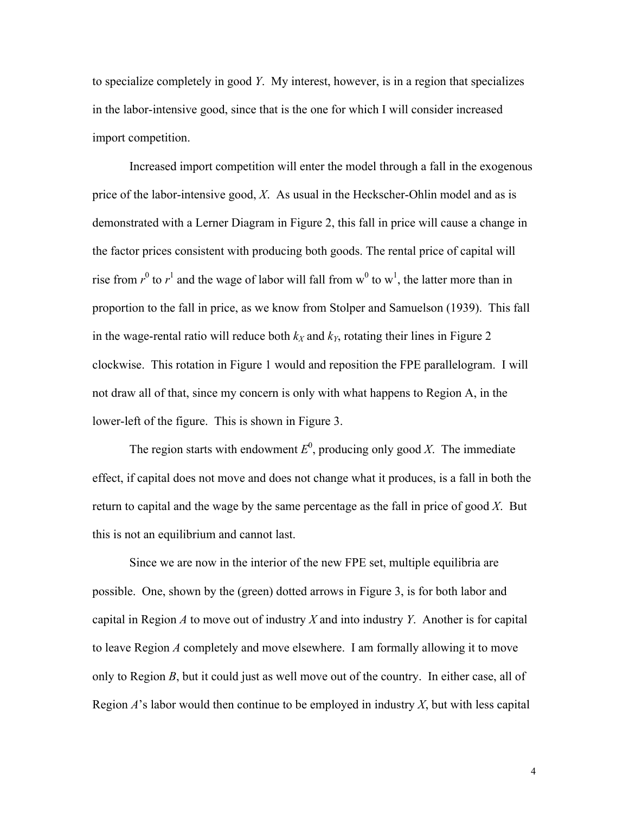to specialize completely in good *Y*. My interest, however, is in a region that specializes in the labor-intensive good, since that is the one for which I will consider increased import competition.

Increased import competition will enter the model through a fall in the exogenous price of the labor-intensive good, *X*. As usual in the Heckscher-Ohlin model and as is demonstrated with a Lerner Diagram in Figure 2, this fall in price will cause a change in the factor prices consistent with producing both goods. The rental price of capital will rise from  $r^0$  to  $r^1$  and the wage of labor will fall from  $w^0$  to  $w^1$ , the latter more than in proportion to the fall in price, as we know from Stolper and Samuelson (1939). This fall in the wage-rental ratio will reduce both  $k_X$  and  $k_Y$ , rotating their lines in Figure 2 clockwise. This rotation in Figure 1 would and reposition the FPE parallelogram. I will not draw all of that, since my concern is only with what happens to Region A, in the lower-left of the figure. This is shown in Figure 3.

The region starts with endowment  $E^0$ , producing only good *X*. The immediate effect, if capital does not move and does not change what it produces, is a fall in both the return to capital and the wage by the same percentage as the fall in price of good *X*. But this is not an equilibrium and cannot last.

Since we are now in the interior of the new FPE set, multiple equilibria are possible. One, shown by the (green) dotted arrows in Figure 3, is for both labor and capital in Region *A* to move out of industry *X* and into industry *Y*. Another is for capital to leave Region *A* completely and move elsewhere. I am formally allowing it to move only to Region *B*, but it could just as well move out of the country. In either case, all of Region *A*'s labor would then continue to be employed in industry *X*, but with less capital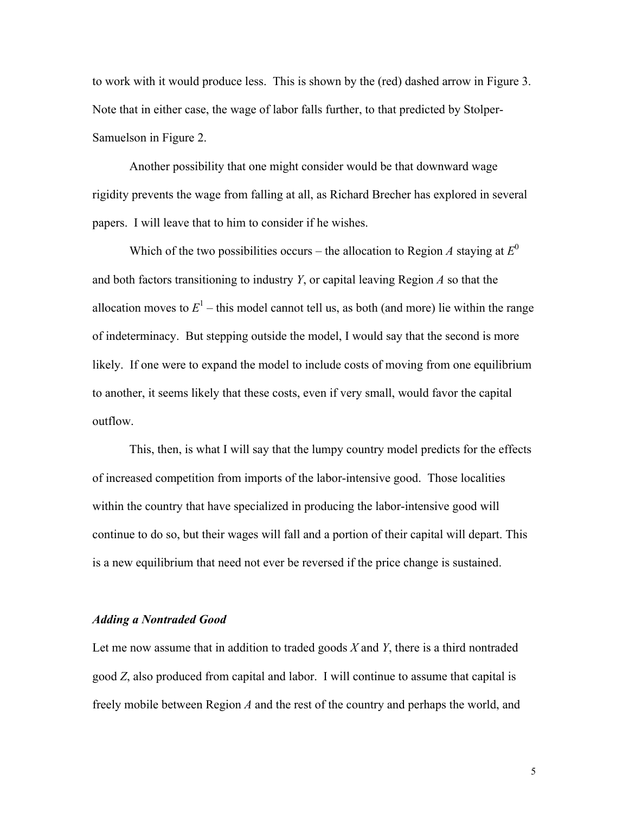to work with it would produce less. This is shown by the (red) dashed arrow in Figure 3. Note that in either case, the wage of labor falls further, to that predicted by Stolper-Samuelson in Figure 2.

Another possibility that one might consider would be that downward wage rigidity prevents the wage from falling at all, as Richard Brecher has explored in several papers. I will leave that to him to consider if he wishes.

Which of the two possibilities occurs – the allocation to Region A staying at  $E^0$ and both factors transitioning to industry *Y*, or capital leaving Region *A* so that the allocation moves to  $E<sup>1</sup>$  – this model cannot tell us, as both (and more) lie within the range of indeterminacy. But stepping outside the model, I would say that the second is more likely. If one were to expand the model to include costs of moving from one equilibrium to another, it seems likely that these costs, even if very small, would favor the capital outflow.

This, then, is what I will say that the lumpy country model predicts for the effects of increased competition from imports of the labor-intensive good. Those localities within the country that have specialized in producing the labor-intensive good will continue to do so, but their wages will fall and a portion of their capital will depart. This is a new equilibrium that need not ever be reversed if the price change is sustained.

## *Adding a Nontraded Good*

Let me now assume that in addition to traded goods *X* and *Y*, there is a third nontraded good *Z*, also produced from capital and labor. I will continue to assume that capital is freely mobile between Region *A* and the rest of the country and perhaps the world, and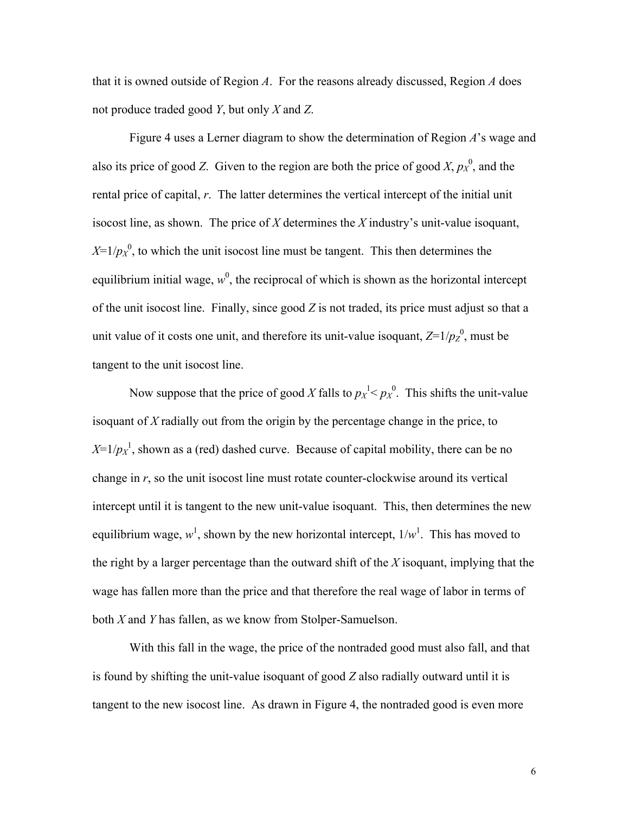that it is owned outside of Region *A*. For the reasons already discussed, Region *A* does not produce traded good *Y*, but only *X* and *Z*.

Figure 4 uses a Lerner diagram to show the determination of Region *A*'s wage and also its price of good *Z*. Given to the region are both the price of good *X*,  $p_X^0$ , and the rental price of capital, *r*. The latter determines the vertical intercept of the initial unit isocost line, as shown. The price of *X* determines the *X* industry's unit-value isoquant,  $X=1/p_X^0$ , to which the unit isocost line must be tangent. This then determines the equilibrium initial wage,  $w^0$ , the reciprocal of which is shown as the horizontal intercept of the unit isocost line. Finally, since good *Z* is not traded, its price must adjust so that a unit value of it costs one unit, and therefore its unit-value isoquant,  $Z=1/p_Z^0$ , must be tangent to the unit isocost line.

Now suppose that the price of good X falls to  $p_X^1 < p_X^0$ . This shifts the unit-value isoquant of *X* radially out from the origin by the percentage change in the price, to  $X=1/p_X^1$ , shown as a (red) dashed curve. Because of capital mobility, there can be no change in *r*, so the unit isocost line must rotate counter-clockwise around its vertical intercept until it is tangent to the new unit-value isoquant. This, then determines the new equilibrium wage,  $w^1$ , shown by the new horizontal intercept,  $1/w^1$ . This has moved to the right by a larger percentage than the outward shift of the *X* isoquant, implying that the wage has fallen more than the price and that therefore the real wage of labor in terms of both *X* and *Y* has fallen, as we know from Stolper-Samuelson.

With this fall in the wage, the price of the nontraded good must also fall, and that is found by shifting the unit-value isoquant of good *Z* also radially outward until it is tangent to the new isocost line. As drawn in Figure 4, the nontraded good is even more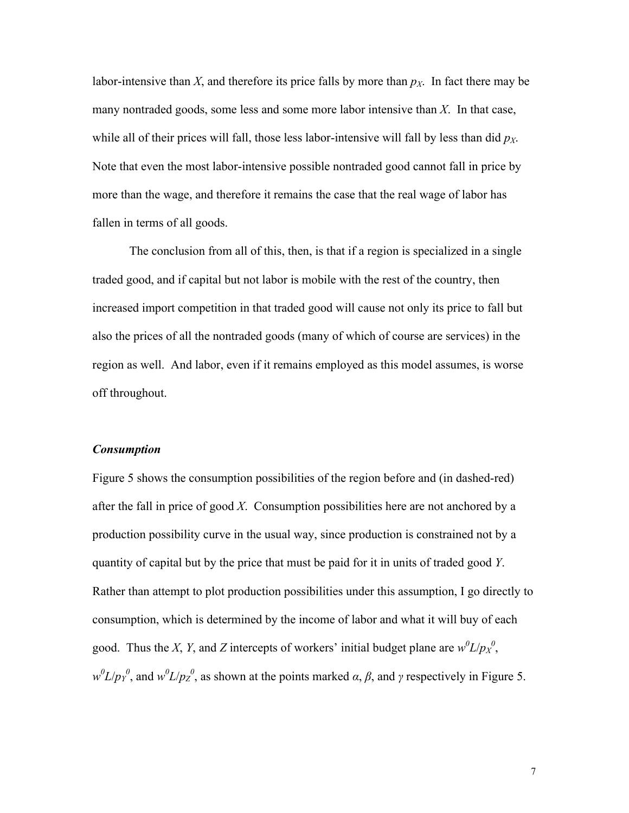labor-intensive than *X*, and therefore its price falls by more than  $p<sub>X</sub>$ . In fact there may be many nontraded goods, some less and some more labor intensive than *X*. In that case, while all of their prices will fall, those less labor-intensive will fall by less than did  $p_X$ . Note that even the most labor-intensive possible nontraded good cannot fall in price by more than the wage, and therefore it remains the case that the real wage of labor has fallen in terms of all goods.

The conclusion from all of this, then, is that if a region is specialized in a single traded good, and if capital but not labor is mobile with the rest of the country, then increased import competition in that traded good will cause not only its price to fall but also the prices of all the nontraded goods (many of which of course are services) in the region as well. And labor, even if it remains employed as this model assumes, is worse off throughout.

### *Consumption*

Figure 5 shows the consumption possibilities of the region before and (in dashed-red) after the fall in price of good *X*. Consumption possibilities here are not anchored by a production possibility curve in the usual way, since production is constrained not by a quantity of capital but by the price that must be paid for it in units of traded good *Y*. Rather than attempt to plot production possibilities under this assumption, I go directly to consumption, which is determined by the income of labor and what it will buy of each good. Thus the *X*, *Y*, and *Z* intercepts of workers' initial budget plane are  $w^0 L / p_X^0$ ,  $w^0L/p_Y^0$ , and  $w^0L/p_Z^0$ , as shown at the points marked *α*, *β*, and *γ* respectively in Figure 5.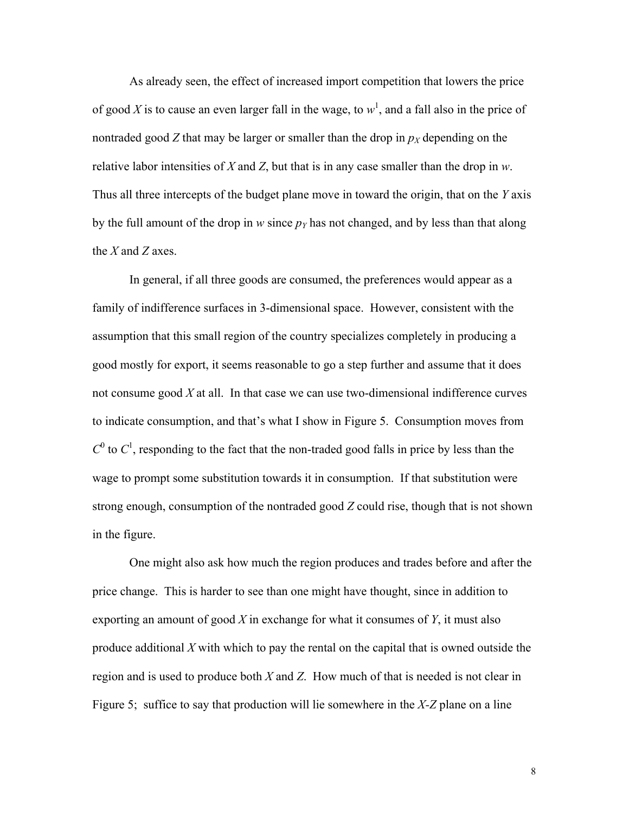As already seen, the effect of increased import competition that lowers the price of good X is to cause an even larger fall in the wage, to  $w<sup>1</sup>$ , and a fall also in the price of nontraded good *Z* that may be larger or smaller than the drop in  $p<sub>X</sub>$  depending on the relative labor intensities of *X* and *Z*, but that is in any case smaller than the drop in *w*. Thus all three intercepts of the budget plane move in toward the origin, that on the *Y* axis by the full amount of the drop in *w* since  $p_Y$  has not changed, and by less than that along the *X* and *Z* axes.

In general, if all three goods are consumed, the preferences would appear as a family of indifference surfaces in 3-dimensional space. However, consistent with the assumption that this small region of the country specializes completely in producing a good mostly for export, it seems reasonable to go a step further and assume that it does not consume good *X* at all. In that case we can use two-dimensional indifference curves to indicate consumption, and that's what I show in Figure 5. Consumption moves from  $C^0$  to  $C^1$ , responding to the fact that the non-traded good falls in price by less than the wage to prompt some substitution towards it in consumption. If that substitution were strong enough, consumption of the nontraded good *Z* could rise, though that is not shown in the figure.

One might also ask how much the region produces and trades before and after the price change. This is harder to see than one might have thought, since in addition to exporting an amount of good *X* in exchange for what it consumes of *Y*, it must also produce additional *X* with which to pay the rental on the capital that is owned outside the region and is used to produce both *X* and *Z*. How much of that is needed is not clear in Figure 5; suffice to say that production will lie somewhere in the *X-Z* plane on a line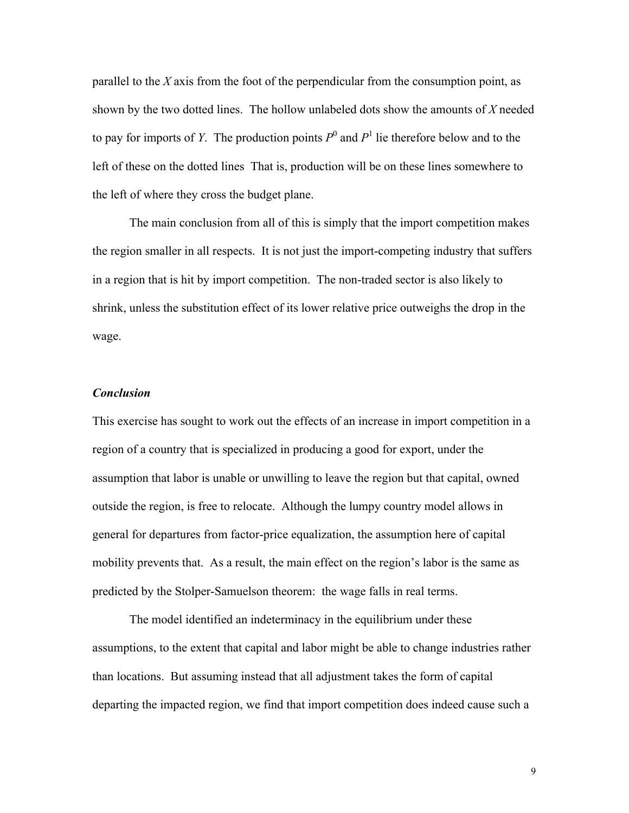parallel to the *X* axis from the foot of the perpendicular from the consumption point, as shown by the two dotted lines. The hollow unlabeled dots show the amounts of *X* needed to pay for imports of *Y*. The production points  $P^0$  and  $P^1$  lie therefore below and to the left of these on the dotted lines That is, production will be on these lines somewhere to the left of where they cross the budget plane.

The main conclusion from all of this is simply that the import competition makes the region smaller in all respects. It is not just the import-competing industry that suffers in a region that is hit by import competition. The non-traded sector is also likely to shrink, unless the substitution effect of its lower relative price outweighs the drop in the wage.

## *Conclusion*

This exercise has sought to work out the effects of an increase in import competition in a region of a country that is specialized in producing a good for export, under the assumption that labor is unable or unwilling to leave the region but that capital, owned outside the region, is free to relocate. Although the lumpy country model allows in general for departures from factor-price equalization, the assumption here of capital mobility prevents that. As a result, the main effect on the region's labor is the same as predicted by the Stolper-Samuelson theorem: the wage falls in real terms.

The model identified an indeterminacy in the equilibrium under these assumptions, to the extent that capital and labor might be able to change industries rather than locations. But assuming instead that all adjustment takes the form of capital departing the impacted region, we find that import competition does indeed cause such a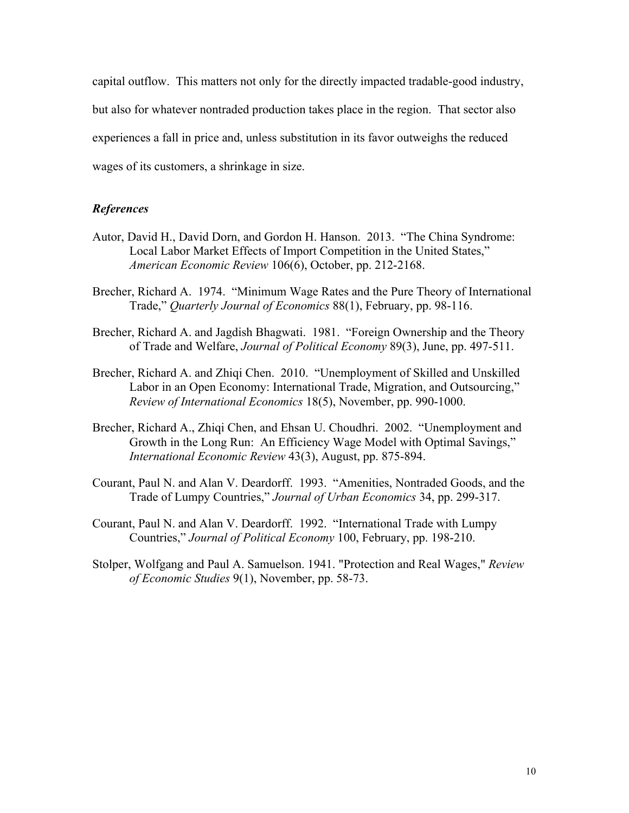capital outflow. This matters not only for the directly impacted tradable-good industry, but also for whatever nontraded production takes place in the region. That sector also experiences a fall in price and, unless substitution in its favor outweighs the reduced wages of its customers, a shrinkage in size.

## *References*

- Autor, David H., David Dorn, and Gordon H. Hanson. 2013. "The China Syndrome: Local Labor Market Effects of Import Competition in the United States," *American Economic Review* 106(6), October, pp. 212-2168.
- Brecher, Richard A. 1974. "Minimum Wage Rates and the Pure Theory of International Trade," *Quarterly Journal of Economics* 88(1), February, pp. 98-116.
- Brecher, Richard A. and Jagdish Bhagwati. 1981. "Foreign Ownership and the Theory of Trade and Welfare, *Journal of Political Economy* 89(3), June, pp. 497-511.
- Brecher, Richard A. and Zhiqi Chen. 2010. "Unemployment of Skilled and Unskilled Labor in an Open Economy: International Trade, Migration, and Outsourcing," *Review of International Economics* 18(5), November, pp. 990-1000.
- Brecher, Richard A., Zhiqi Chen, and Ehsan U. Choudhri. 2002. "Unemployment and Growth in the Long Run: An Efficiency Wage Model with Optimal Savings," *International Economic Review* 43(3), August, pp. 875-894.
- Courant, Paul N. and Alan V. Deardorff. 1993. "Amenities, Nontraded Goods, and the Trade of Lumpy Countries," *Journal of Urban Economics* 34, pp. 299-317.
- Courant, Paul N. and Alan V. Deardorff. 1992. "International Trade with Lumpy Countries," *Journal of Political Economy* 100, February, pp. 198-210.
- Stolper, Wolfgang and Paul A. Samuelson. 1941. "Protection and Real Wages," *Review of Economic Studies* 9(1), November, pp. 58-73.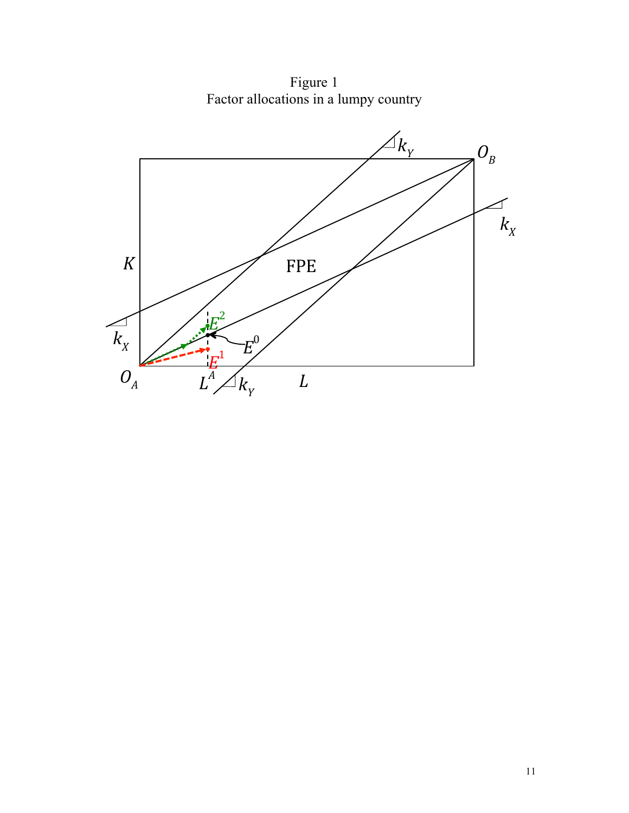Figure 1 Factor allocations in a lumpy country

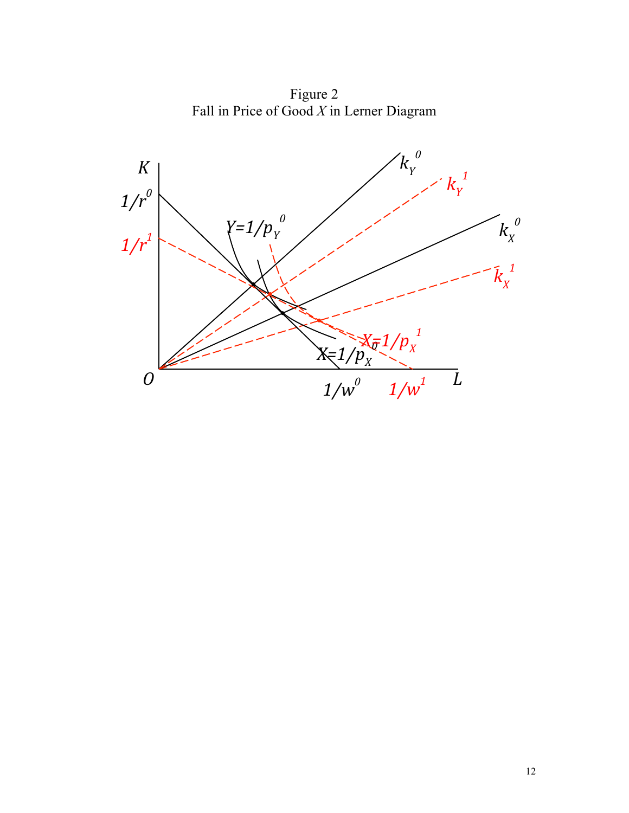Figure 2 Fall in Price of Good *X* in Lerner Diagram

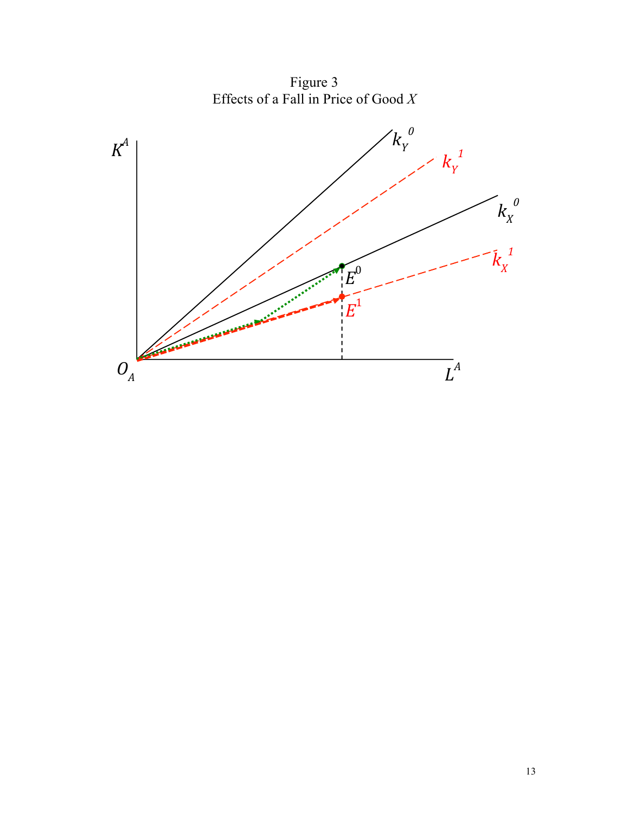Figure 3 Effects of a Fall in Price of Good *X*

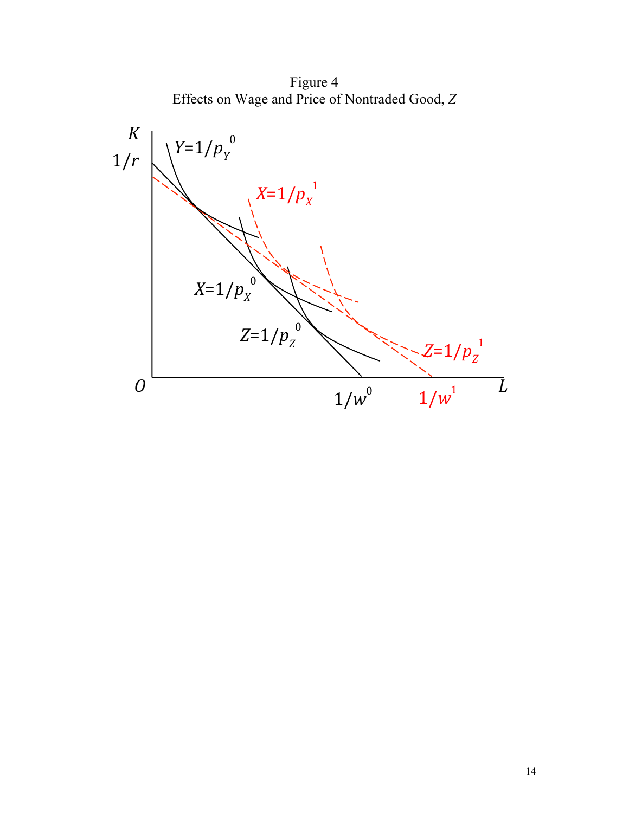Figure 4 Effects on Wage and Price of Nontraded Good, *Z*